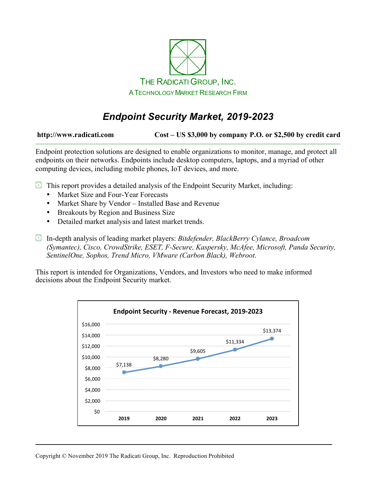

# *Endpoint Security Market, 2019-2023*

**http://www.radicati.com Cost – US \$3,000 by company P.O. or \$2,500 by credit card**

Endpoint protection solutions are designed to enable organizations to monitor, manage, and protect all endpoints on their networks. Endpoints include desktop computers, laptops, and a myriad of other computing devices, including mobile phones, IoT devices, and more.

- $\boxtimes$  This report provides a detailed analysis of the Endpoint Security Market, including:
	- Market Size and Four-Year Forecasts
	- Market Share by Vendor Installed Base and Revenue
	- Breakouts by Region and Business Size
	- Detailed market analysis and latest market trends.
- In-depth analysis of leading market players: *Bitdefender, BlackBerry Cylance, Broadcom (Symantec), Cisco, CrowdStrike, ESET, F-Secure, Kaspersky, McAfee, Microsoft, Panda Security, SentinelOne, Sophos, Trend Micro, VMware (Carbon Black), Webroot*.

This report is intended for Organizations, Vendors, and Investors who need to make informed decisions about the Endpoint Security market.

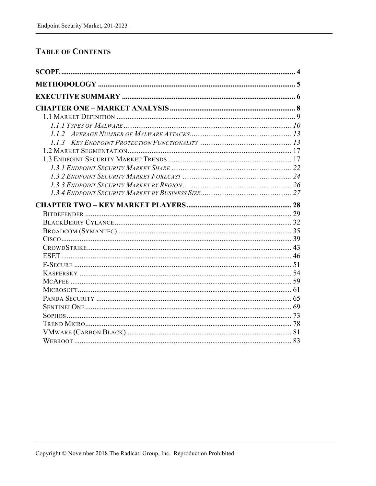### **TABLE OF CONTENTS**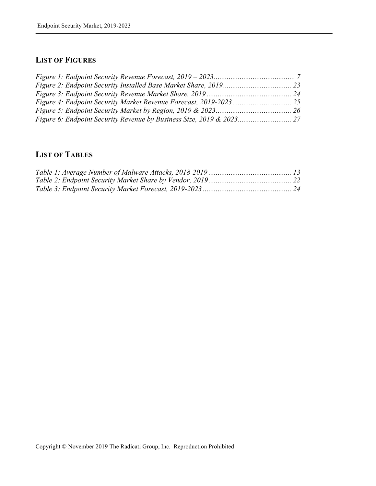## **LIST OF FIGURES**

## **LIST OF TABLES**